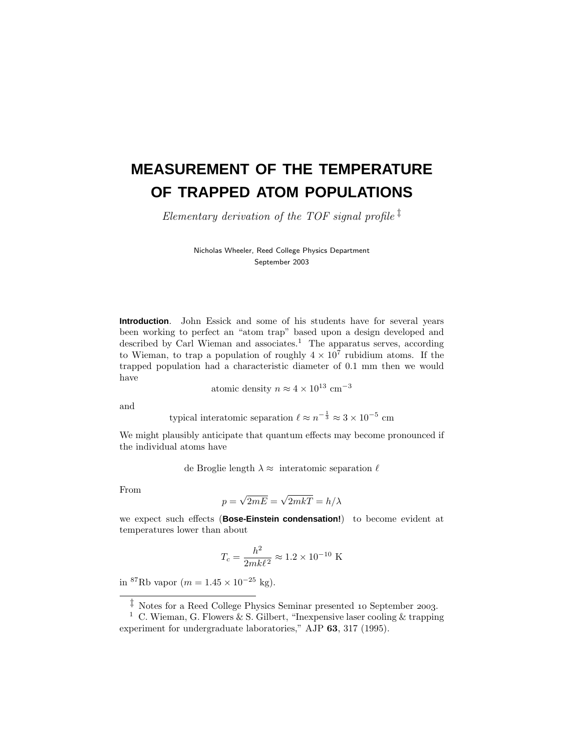# **MEASUREMENT OF THE TEMPERATURE OF TRAPPED ATOM POPULATIONS**

Elementary derivation of the TOF signal profile  $\frac{1}{k}$ 

Nicholas Wheeler, Reed College Physics Department September 2003

**Introduction**. John Essick and some of his students have for several years been working to perfect an "atom trap" based upon a design developed and described by Carl Wieman and associates.<sup>1</sup> The apparatus serves, according to Wieman, to trap a population of roughly  $4 \times 10^7$  rubidium atoms. If the trapped population had a characteristic diameter of 0.1 mm then we would have

atomic density  $n \approx 4 \times 10^{13}$  cm<sup>-3</sup>

and

typical interatomic separation  $\ell \approx n^{-\frac{1}{3}} \approx 3 \times 10^{-5}$  cm

We might plausibly anticipate that quantum effects may become pronounced if the individual atoms have

de Broglie length  $\lambda \approx$  interatomic separation  $\ell$ 

From

$$
p = \sqrt{2mE} = \sqrt{2mkT} = h/\lambda
$$

we expect such effects (**Bose-Einstein condensation!**) to become evident at temperatures lower than about

$$
T_c = \frac{h^2}{2mk\ell^2} \approx 1.2 \times 10^{-10} \text{ K}
$$

in <sup>87</sup>Rb vapor ( $m = 1.45 \times 10^{-25}$  kg).

 $\ddagger$  Notes for a Reed College Physics Seminar presented 10 September 2003.

<sup>&</sup>lt;sup>1</sup> C. Wieman, G. Flowers & S. Gilbert, "Inexpensive laser cooling & trapping experiment for undergraduate laboratories," AJP 63, 317 (1995).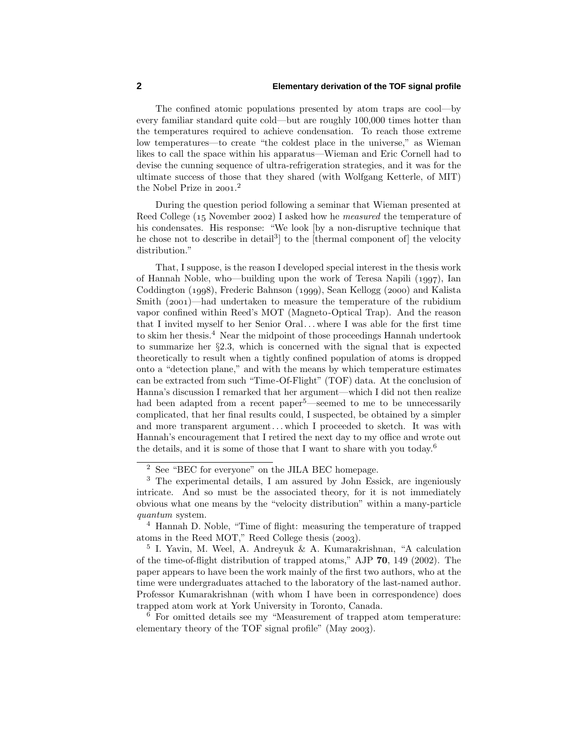#### **2 Elementary derivation of the TOF signal profile**

The confined atomic populations presented by atom traps are cool—by every familiar standard quite cold—but are roughly 100,000 times hotter than the temperatures required to achieve condensation. To reach those extreme low temperatures—to create "the coldest place in the universe," as Wieman likes to call the space within his apparatus—Wieman and Eric Cornell had to devise the cunning sequence of ultra-refrigeration strategies, and it was for the ultimate success of those that they shared (with Wolfgang Ketterle, of MIT) the Nobel Prize in  $2001.<sup>2</sup>$ 

During the question period following a seminar that Wieman presented at Reed College  $(15$  November 2002) I asked how he *measured* the temperature of his condensates. His response: "We look [by a non-disruptive technique that he chose not to describe in detail<sup>3</sup> to the [thermal component of] the velocity distribution."

That, I suppose, is the reason I developed special interest in the thesis work of Hannah Noble, who—building upon the work of Teresa Napili  $(1997)$ , Ian Coddington (1998), Frederic Bahnson (1999), Sean Kellogg (2000) and Kalista Smith  $(2001)$ —had undertaken to measure the temperature of the rubidium vapor confined within Reed's MOT (Magneto-Optical Trap). And the reason that I invited myself to her Senior Oral*...* where I was able for the first time to skim her thesis.<sup>4</sup> Near the midpoint of those proceedings Hannah undertook to summarize her  $\S 2.3$ , which is concerned with the signal that is expected theoretically to result when a tightly confined population of atoms is dropped onto a "detection plane," and with the means by which temperature estimates can be extracted from such "Time-Of-Flight" (TOF) data. At the conclusion of Hanna's discussion I remarked that her argument—which I did not then realize had been adapted from a recent paper<sup>5</sup>—seemed to me to be unnecessarily complicated, that her final results could, I suspected, be obtained by a simpler and more transparent argument*...* which I proceeded to sketch. It was with Hannah's encouragement that I retired the next day to my office and wrote out the details, and it is some of those that I want to share with you today.<sup>6</sup>

<sup>6</sup> For omitted details see my "Measurement of trapped atom temperature: elementary theory of the TOF signal profile" (May  $2003$ ).

<sup>2</sup> See "BEC for everyone" on the JILA BEC homepage.

<sup>&</sup>lt;sup>3</sup> The experimental details, I am assured by John Essick, are ingeniously intricate. And so must be the associated theory, for it is not immediately obvious what one means by the "velocity distribution" within a many-particle quantum system.

<sup>&</sup>lt;sup>4</sup> Hannah D. Noble, "Time of flight: measuring the temperature of trapped atoms in the Reed MOT," Reed College thesis  $(2003)$ .

 $5$  I. Yavin, M. Weel, A. Andreyuk & A. Kumarakrishnan, "A calculation of the time-of-flight distribution of trapped atoms," AJP **70**,149 (2002). The paper appears to have been the work mainly of the first two authors,who at the time were undergraduates attached to the laboratory of the last-named author. Professor Kumarakrishnan (with whom I have been in correspondence) does trapped atom work at York University in Toronto, Canada.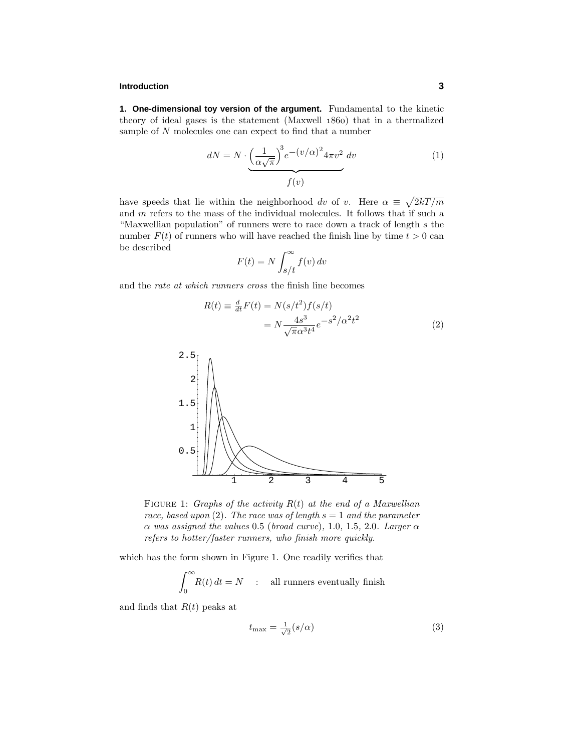## **Introduction 3**

**1. One-dimensional toy version of the argument.** Fundamental to the kinetic theory of ideal gases is the statement (Maxwell 1860) that in a thermalized sample of *N* molecules one can expect to find that a number

$$
dN = N \cdot \underbrace{\left(\frac{1}{\alpha\sqrt{\pi}}\right)^3 e^{-(v/\alpha)^2} 4\pi v^2} \, dv
$$
\n
$$
f(v)
$$
\n(1)

have speeds that lie within the neighborhood dv of v. Here  $\alpha \equiv \sqrt{2kT/m}$ and *m* refers to the mass of the individual molecules. It follows that if such a "Maxwellian population" of runners were to race down a track of length *s* the number  $F(t)$  of runners who will have reached the finish line by time  $t > 0$  can be described

$$
F(t) = N \int_{s/t}^{\infty} f(v) dv
$$

and the rate at which runners cross the finish line becomes

$$
R(t) = \frac{d}{dt}F(t) = N(s/t^2)f(s/t)
$$
  
=  $N \frac{4s^3}{\sqrt{\pi} \alpha^3 t^4} e^{-s^2/\alpha^2 t^2}$  (2)



FIGURE 1: Graphs of the activity  $R(t)$  at the end of a Maxwellian race, based upon (2). The race was of length  $s = 1$  and the parameter *α* was assigned the values 0*.*5 (broad curve), 1*.*0, 1*.*5, 2*.*0. Larger *α* refers to hotter/faster runners, who finish more quickly.

which has the form shown in Figure 1. One readily verifies that

$$
\int_0^\infty R(t) dt = N \quad : \quad \text{all numers eventually finish}
$$

and finds that  $R(t)$  peaks at

$$
t_{\max} = \frac{1}{\sqrt{2}} (s/\alpha) \tag{3}
$$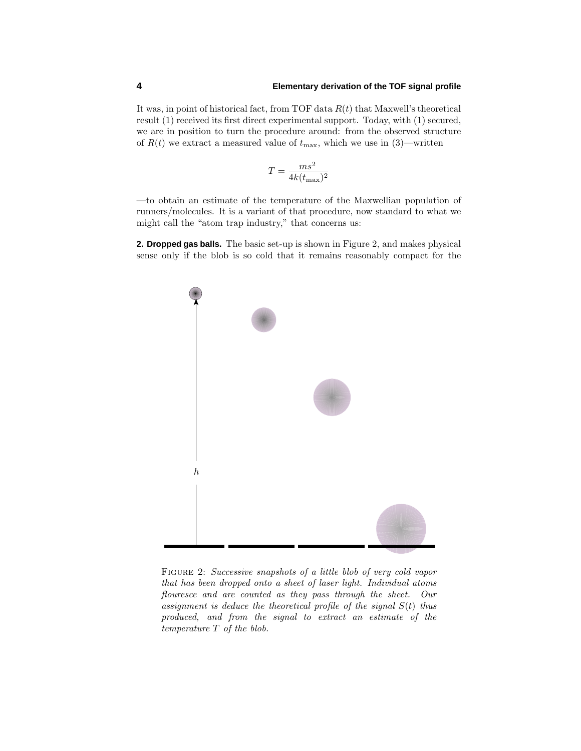### **4 Elementary derivation of the TOF signal profile**

It was, in point of historical fact, from TOF data  $R(t)$  that Maxwell's theoretical result (1) received its first direct experimental support. Today, with (1) secured, we are in position to turn the procedure around: from the observed structure of  $R(t)$  we extract a measured value of  $t_{\text{max}}$ , which we use in (3)—written

$$
T = \frac{ms^2}{4k(t_{\text{max}})^2}
$$

—to obtain an estimate of the temperature of the Maxwellian population of runners/molecules. It is a variant of that procedure, now standard to what we might call the "atom trap industry," that concerns us:

**2. Dropped gas balls.** The basic set-up is shown in Figure 2, and makes physical sense only if the blob is so cold that it remains reasonably compact for the



FIGURE 2: Successive snapshots of a little blob of very cold vapor that has been dropped onto a sheet of laser light. Individual atoms flouresce and are counted as they pass through the sheet. Our assignment is deduce the theoretical profile of the signal  $S(t)$  thus produced, and from the signal to extract an estimate of the temperature *T* of the blob.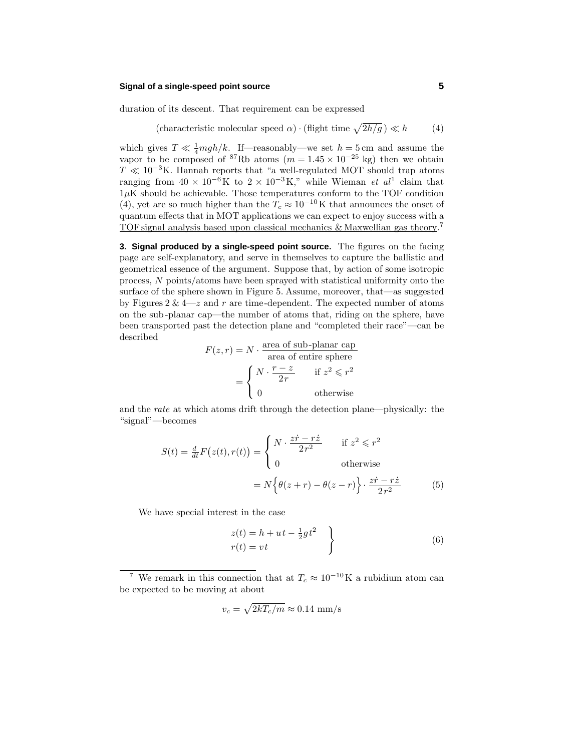#### **Signal of a single-speed point source 5**

duration of its descent. That requirement can be expressed

$$
(\text{characteristic molecular speed } \alpha) \cdot (\text{flight time } \sqrt{2h/g}) \ll h \tag{4}
$$

which gives  $T \ll \frac{1}{4} mgh/k$ . If—reasonably—we set  $h = 5$  cm and assume the vapor to be composed of <sup>87</sup>Rb atoms  $(m = 1.45 \times 10^{-25} \text{ kg})$  then we obtain  $T \ll 10^{-3}$ K. Hannah reports that "a well-regulated MOT should trap atoms ranging from  $40 \times 10^{-6}$ K to  $2 \times 10^{-3}$ K," while Wieman *et al*<sup>1</sup> claim that  $1\mu$ K should be achievable. Those temperatures conform to the TOF condition (4), yet are so much higher than the  $T_c \approx 10^{-10}$  K that announces the onset of quantum effects that in MOT applications we can expect to enjoy success with a TOF signal analysis based upon classical mechanics & Maxwellian gas theory.<sup>7</sup>

**3. Signal produced by a single-speed point source.** The figures on the facing page are self-explanatory, and serve in themselves to capture the ballistic and geometrical essence of the argument. Suppose that,by action of some isotropic process, *N* points/atoms have been sprayed with statistical uniformity onto the surface of the sphere shown in Figure 5. Assume, moreover, that—as suggested by Figures  $2 \& 4-z$  and  $r$  are time-dependent. The expected number of atoms on the sub-planar cap—the number of atoms that, riding on the sphere, have been transported past the detection plane and "completed their race"—can be described

$$
F(z,r) = N \cdot \frac{\text{area of sub-planar cap}}{\text{area of entire sphere}}
$$

$$
= \begin{cases} N \cdot \frac{r-z}{2r} & \text{if } z^2 \leq r^2\\ 0 & \text{otherwise} \end{cases}
$$

and the rate at which atoms drift through the detection plane—physically: the "signal"—becomes

$$
S(t) = \frac{d}{dt}F(z(t), r(t)) = \begin{cases} N \cdot \frac{z\dot{r} - r\dot{z}}{2r^2} & \text{if } z^2 \leq r^2\\ 0 & \text{otherwise} \end{cases}
$$

$$
= N\left\{\theta(z+r) - \theta(z-r)\right\} \cdot \frac{z\dot{r} - r\dot{z}}{2r^2}
$$
(5)

We have special interest in the case

$$
z(t) = h + ut - \frac{1}{2}gt^2
$$
  
\n
$$
r(t) = vt
$$
\n(6)

$$
v_c = \sqrt{2kT_c/m} \approx 0.14 \text{ mm/s}
$$

<sup>&</sup>lt;sup>7</sup> We remark in this connection that at  $T_c \approx 10^{-10}$  K a rubidium atom can be expected to be moving at about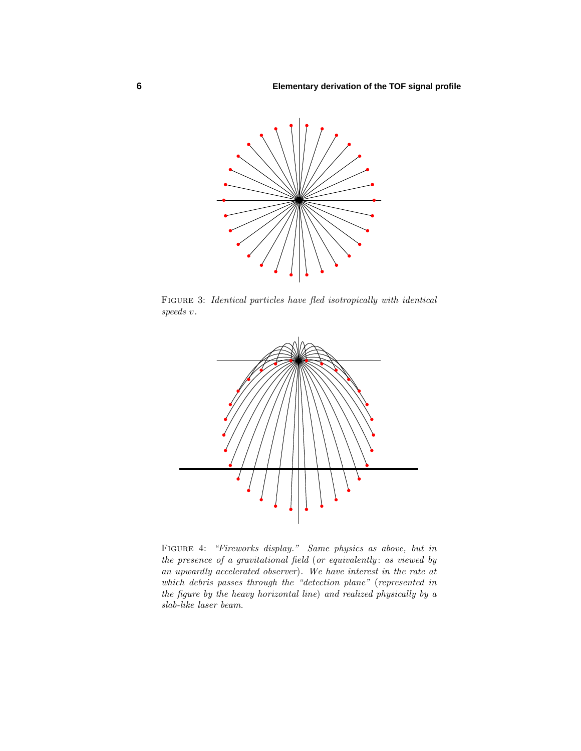

FIGURE 3: Identical particles have fled isotropically with identical speeds *v*.



Figure 4: "Fireworks display." Same physics as above, but in the presence of a gravitational field (or equivalently: as viewed by an upwardly accelerated observer). We have interest in the rate at which debris passes through the "detection plane" (represented in the figure by the heavy horizontal line) and realized physically by a slab-like laser beam.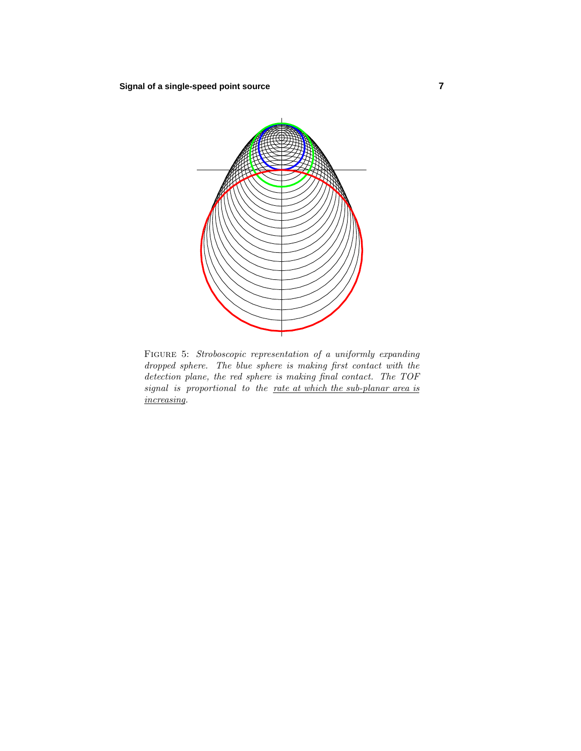

Figure 5: Stroboscopic representation of a uniformly expanding dropped sphere. The blue sphere is making first contact with the detection plane, the red sphere is making final contact. The TOF signal is proportional to the rate at which the sub-planar area is increasing.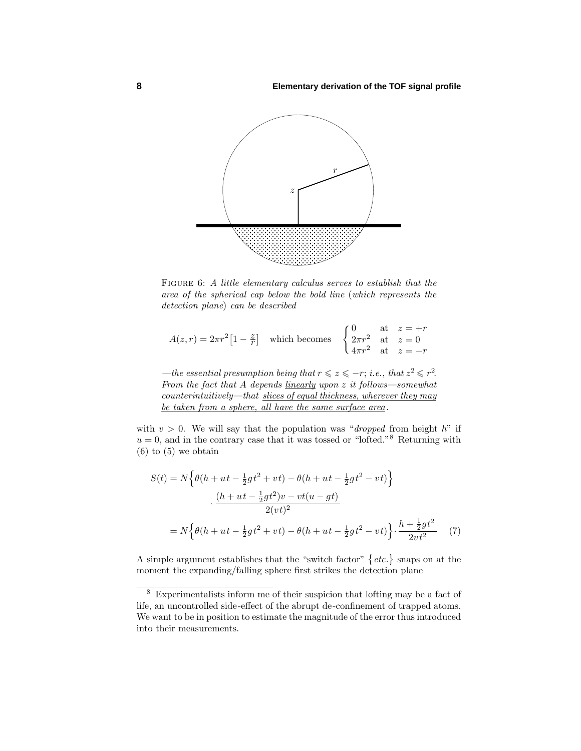

Figure 6: A little elementary calculus serves to establish that the area of the spherical cap below the bold line (which represents the detection plane) can be described

$$
A(z,r) = 2\pi r^2 \left[1 - \frac{z}{r}\right]
$$
 which becomes 
$$
\begin{cases} 0 & \text{at } z = +r \\ 2\pi r^2 & \text{at } z = 0 \\ 4\pi r^2 & \text{at } z = -r \end{cases}
$$

—the essential presumption being that  $r \leqslant z \leqslant -r$ ; i.e., that  $z^2 \leqslant r^2$ . From the fact that *A* depends linearly upon *z* it follows—somewhat  $counterintuitively—that$  slices of equal thickness, wherever they may be taken from a sphere, all have the same surface area.

with  $v > 0$ . We will say that the population was "*dropped* from height *h*" if  $u = 0$ , and in the contrary case that it was tossed or "lofted."<sup>8</sup> Returning with  $(6)$  to  $(5)$  we obtain

$$
S(t) = N\left\{\theta(h+ut-\frac{1}{2}gt^2+vt) - \theta(h+ut-\frac{1}{2}gt^2-vt)\right\}
$$

$$
\cdot \frac{(h+ut-\frac{1}{2}gt^2)v - vt(u-gt)}{2(vt)^2}
$$

$$
= N\left\{\theta(h+ut-\frac{1}{2}gt^2+vt) - \theta(h+ut-\frac{1}{2}gt^2-vt)\right\} \cdot \frac{h+\frac{1}{2}gt^2}{2vt^2} \tag{7}
$$

A simple argument establishes that the "switch factor"  $\{etc.\}$  snaps on at the moment the expanding/falling sphere first strikes the detection plane

<sup>8</sup> Experimentalists inform me of their suspicion that lofting may be a fact of life, an uncontrolled side-effect of the abrupt de-confinement of trapped atoms. We want to be in position to estimate the magnitude of the error thus introduced into their measurements.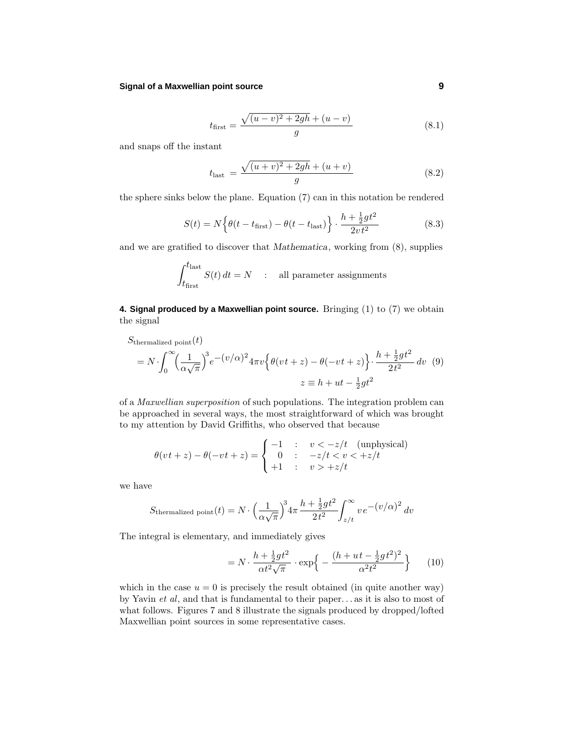#### **Signal of a Maxwellian point source 9**

$$
t_{\text{first}} = \frac{\sqrt{(u-v)^2 + 2gh} + (u-v)}{g}
$$
 (8.1)

and snaps off the instant

$$
t_{\text{last}} = \frac{\sqrt{(u+v)^2 + 2gh} + (u+v)}{g}
$$
 (8.2)

the sphere sinks below the plane. Equation (7) can in this notation be rendered

$$
S(t) = N\left\{\theta(t - t_{\text{first}}) - \theta(t - t_{\text{last}})\right\} \cdot \frac{h + \frac{1}{2}gt^2}{2vt^2}
$$
\n(8.3)

and we are gratified to discover that *Mathematica*, working from  $(8)$ , supplies

$$
\int_{t_{\rm first}}^{t_{\rm last}} S(t) dt = N \quad : \quad \text{all parameter assignments}
$$

**4. Signal produced by a Maxwellian point source.** Bringing (1) to (7) we obtain the signal

$$
S_{\text{thermalized point}}(t)
$$
\n
$$
= N \cdot \int_0^\infty \left(\frac{1}{\alpha \sqrt{\pi}}\right)^3 e^{-(v/\alpha)^2} 4\pi v \left\{\theta(vt+z) - \theta(-vt+z)\right\} \cdot \frac{h + \frac{1}{2}gt^2}{2t^2} dv
$$
\n
$$
z \equiv h + ut - \frac{1}{2}gt^2
$$

of a Maxwellian superposition of such populations. The integration problem can be approached in several ways, the most straightforward of which was brought to my attention by David Griffiths, who observed that because

$$
\theta(vt+z) - \theta(-vt+z) = \begin{cases}\n-1 & : v < -z/t \quad \text{(unphysical)} \\
0 & : -z/t < v < +z/t \\
+1 & : v > +z/t\n\end{cases}
$$

we have

$$
S_{\text{thermalized point}}(t) = N \cdot \left(\frac{1}{\alpha \sqrt{\pi}}\right)^3 4\pi \frac{h + \frac{1}{2}gt^2}{2t^2} \int_{z/t}^{\infty} v e^{-(v/\alpha)^2} dv
$$

The integral is elementary, and immediately gives

$$
=N\cdot\frac{h+\frac{1}{2}gt^2}{\alpha t^2\sqrt{\pi}}\cdot\exp\Big\{-\frac{(h+ut-\frac{1}{2}gt^2)^2}{\alpha^2t^2}\Big\}\qquad(10)
$$

which in the case  $u = 0$  is precisely the result obtained (in quite another way) by Yavin et al,and that is fundamental to their paper*...* as it is also to most of what follows. Figures 7 and 8 illustrate the signals produced by dropped/lofted Maxwellian point sources in some representative cases.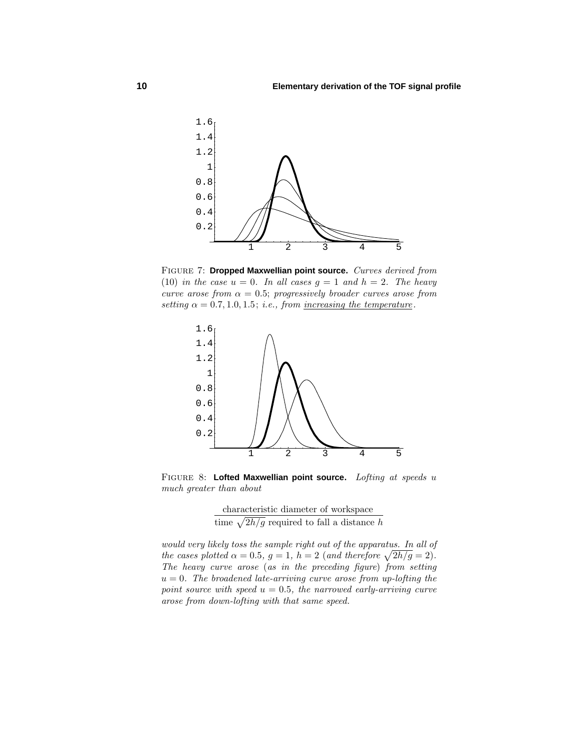

Figure 7: **Dropped Maxwellian point source.** Curves derived from (10) in the case  $u = 0$ . In all cases  $g = 1$  and  $h = 2$ . The heavy curve arose from  $\alpha = 0.5$ ; progressively broader curves arose from setting  $\alpha = 0.7, 1.0, 1.5$ ; i.e., from <u>increasing the temperature</u>.



Figure 8: **Lofted Maxwellian point source.** Lofting at speeds *u* much greater than about

characteristic diameter of workspace time  $\sqrt{2h/g}$  required to fall a distance *h* 

would very likely toss the sample right out of the apparatus. In all of the cases plotted  $\alpha = 0.5$ ,  $g = 1$ ,  $h = 2$  (and therefore  $\sqrt{2h/g} = 2$ ). The heavy curve arose (as in the preceding figure) from setting  $u = 0$ . The broadened late-arriving curve arose from up-lofting the point source with speed  $u = 0.5$ , the narrowed early-arriving curve arose from down-lofting with that same speed.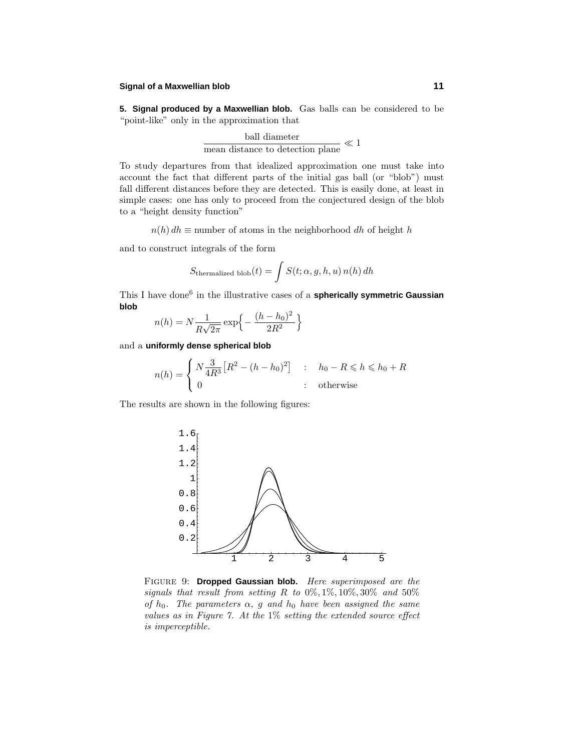#### **Signal of a Maxwellian blob 11**

**5. Signal produced by a Maxwellian blob.** Gas balls can be considered to be "point-like" only in the approximation that

 $\frac{\text{ball diameter}}{\text{mean distance to detection plane}} \ll 1$ 

To study departures from that idealized approximation one must take into account the fact that different parts of the initial gas ball (or "blob") must fall different distances before they are detected. This is easily done, at least in simple cases: one has only to proceed from the conjectured design of the blob to a "height density function"

 $n(h) dh \equiv$  number of atoms in the neighborhood *dh* of height *h* 

and to construct integrals of the form

$$
S_{\text{thermalized blob}}(t) = \int S(t; \alpha, g, h, u) n(h) dh
$$

This I have done<sup>6</sup> in the illustrative cases of a **spherically symmetric Gaussian blob**

$$
n(h) = N \frac{1}{R\sqrt{2\pi}} \exp\left\{-\frac{(h-h_0)^2}{2R^2}\right\}
$$

and a **uniformly dense spherical blob**

$$
n(h) = \begin{cases} N\frac{3}{4R^3} \left[R^2 - (h - h_0)^2\right] & \text{: } h_0 - R \leq h \leq h_0 + R \\ 0 & \text{: } \text{otherwise} \end{cases}
$$

The results are shown in the following figures:



Figure 9: **Dropped Gaussian blob.** Here superimposed are the signals that result from setting  $R$  to  $0\%, 1\%, 10\%, 30\%$  and  $50\%$ of  $h_0$ . The parameters  $\alpha$ ,  $g$  and  $h_0$  have been assigned the same values as in Figure 7. At the  $1\%$  setting the extended source effect is imperceptible.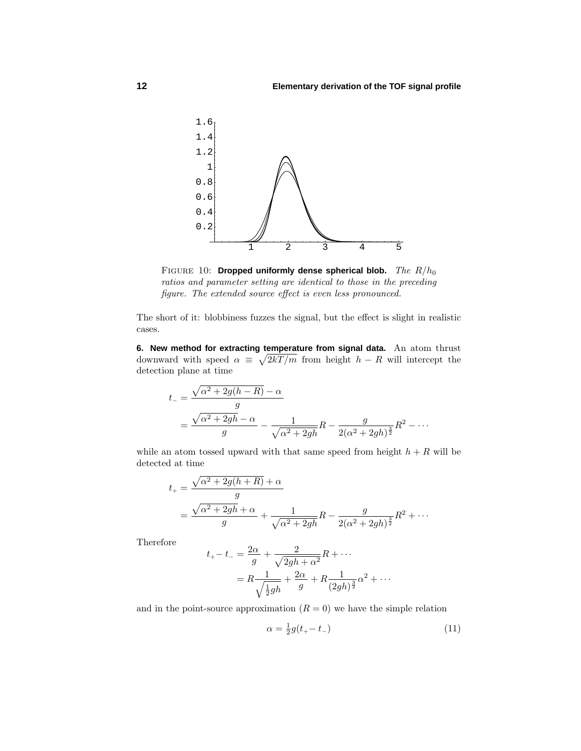

Figure 10: **Dropped uniformly dense spherical blob.** The *R/h*<sup>0</sup> ratios and parameter setting are identical to those in the preceding figure. The extended source effect is even less pronounced.

The short of it: blobbiness fuzzes the signal, but the effect is slight in realistic cases.

**6. New method for extracting temperature from signal data.** An atom thrust downward with speed  $\alpha \equiv \sqrt{2kT/m}$  from height  $h - R$  will intercept the detection plane at time

$$
t_{-} = \frac{\sqrt{\alpha^2 + 2g(h - R)} - \alpha}{g}
$$
  
= 
$$
\frac{\sqrt{\alpha^2 + 2gh} - \alpha}{g} - \frac{1}{\sqrt{\alpha^2 + 2gh}}R - \frac{g}{2(\alpha^2 + 2gh)^{\frac{3}{2}}}R^2 - \dots
$$

while an atom tossed upward with that same speed from height  $h + R$  will be detected at time

$$
t_{+} = \frac{\sqrt{\alpha^{2} + 2g(h+R)} + \alpha}{g}
$$
  
= 
$$
\frac{\sqrt{\alpha^{2} + 2gh} + \alpha}{g} + \frac{1}{\sqrt{\alpha^{2} + 2gh}}R - \frac{g}{2(\alpha^{2} + 2gh)^{\frac{3}{2}}}R^{2} + \cdots
$$

Therefore

$$
t_{+} - t_{-} = \frac{2\alpha}{g} + \frac{2}{\sqrt{2gh + \alpha^{2}}}R + \cdots
$$
  
=  $R\frac{1}{\sqrt{\frac{1}{2}gh}} + \frac{2\alpha}{g} + R\frac{1}{(2gh)^{\frac{3}{2}}}\alpha^{2} + \cdots$ 

and in the point-source approximation  $(R = 0)$  we have the simple relation

$$
\alpha = \frac{1}{2}g(t_{+} - t_{-})
$$
\n(11)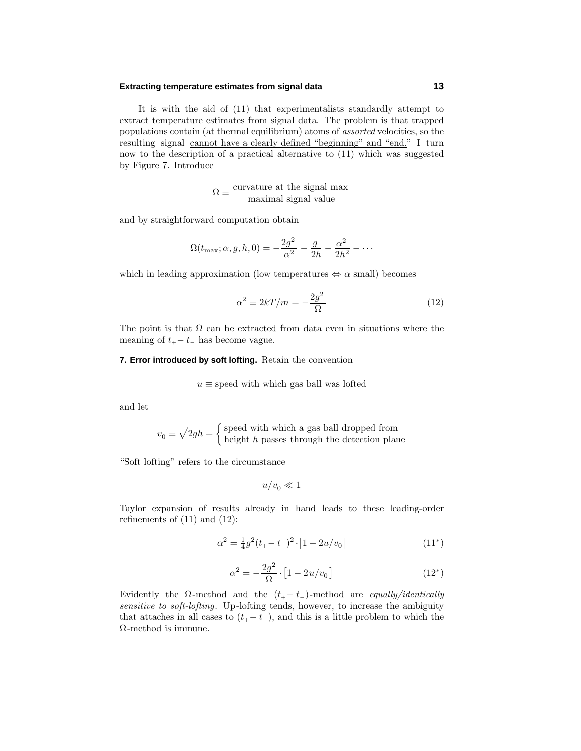### **Extracting temperature estimates from signal data 13**

It is with the aid of (11) that experimentalists standardly attempt to extract temperature estimates from signal data. The problem is that trapped populations contain (at thermal equilibrium) atoms of *assorted* velocities, so the resulting signal cannot have a clearly defined "beginning" and "end." I turn now to the description of a practical alternative to (11) which was suggested by Figure 7. Introduce

 $\Omega \equiv \frac{\text{curvature at the signal max}}{\text{maximal signal value}}$ 

and by straightforward computation obtain

$$
\Omega(t_{\text{max}};\alpha,g,h,0) = -\frac{2g^2}{\alpha^2} - \frac{g}{2h} - \frac{\alpha^2}{2h^2} - \cdots
$$

which in leading approximation (low temperatures  $\Leftrightarrow \alpha$  small) becomes

$$
\alpha^2 \equiv 2kT/m = -\frac{2g^2}{\Omega} \tag{12}
$$

The point is that  $\Omega$  can be extracted from data even in situations where the meaning of  $t_{+}$ −  $t_{-}$  has become vague.

**7. Error introduced by soft lofting.** Retain the convention

$$
u \equiv
$$
 speed with which gas ball was loffed

and let

$$
v_0 \equiv \sqrt{2gh} = \begin{cases} \text{speed with which a gas ball dropped from} \\ \text{height } h \text{ passes through the detection plane} \end{cases}
$$

"Soft lofting" refers to the circumstance

$$
u/v_0 \ll 1
$$

Taylor expansion of results already in hand leads to these leading-order refinements of  $(11)$  and  $(12)$ :

$$
\alpha^2 = \frac{1}{4}g^2(t_+ - t_-)^2 \cdot \left[1 - 2u/v_0\right] \tag{11*}
$$

$$
\alpha^2 = -\frac{2g^2}{\Omega} \cdot \left[ 1 - 2u/v_0 \right] \tag{12*}
$$

Evidently the  $\Omega$ -method and the  $(t_{+}-t_{-})$ -method are *equally/identically* sensitive to soft-lofting. Up-lofting tends, however, to increase the ambiguity that attaches in all cases to  $(t_{+}-t_{-})$ , and this is a little problem to which the Ω-method is immune.